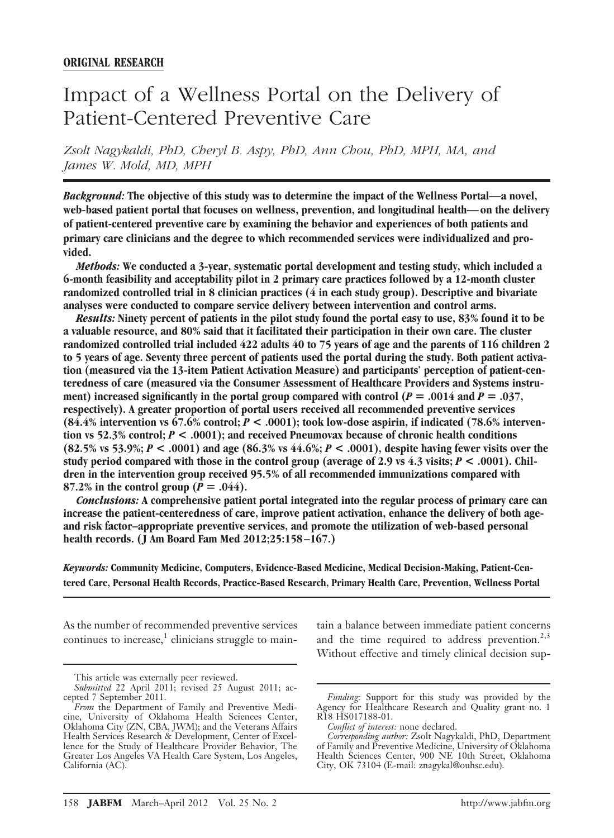# Impact of a Wellness Portal on the Delivery of Patient-Centered Preventive Care

*Zsolt Nagykaldi, PhD, Cheryl B. Aspy, PhD, Ann Chou, PhD, MPH, MA, and James W. Mold, MD, MPH*

*Background:* **The objective of this study was to determine the impact of the Wellness Portal—a novel, web-based patient portal that focuses on wellness, prevention, and longitudinal health—on the delivery of patient-centered preventive care by examining the behavior and experiences of both patients and primary care clinicians and the degree to which recommended services were individualized and provided.**

*Methods:* **We conducted a 3-year, systematic portal development and testing study, which included a 6-month feasibility and acceptability pilot in 2 primary care practices followed by a 12-month cluster randomized controlled trial in 8 clinician practices (4 in each study group). Descriptive and bivariate analyses were conducted to compare service delivery between intervention and control arms.**

*Results:* **Ninety percent of patients in the pilot study found the portal easy to use, 83% found it to be a valuable resource, and 80% said that it facilitated their participation in their own care. The cluster randomized controlled trial included 422 adults 40 to 75 years of age and the parents of 116 children 2 to 5 years of age. Seventy three percent of patients used the portal during the study. Both patient activation (measured via the 13-item Patient Activation Measure) and participants' perception of patient-centeredness of care (measured via the Consumer Assessment of Healthcare Providers and Systems instru**ment) increased significantly in the portal group compared with control ( $P = .0014$  and  $P = .037$ , **respectively). A greater proportion of portal users received all recommended preventive services (84.4% intervention vs 67.6% control;** *P* **< .0001); took low-dose aspirin, if indicated (78.6% intervention vs 52.3% control;**  $P \le 0.001$ **); and received Pneumovax because of chronic health conditions (82.5% vs 53.9%;** *P* **< .0001) and age (86.3% vs 44.6%;** *P* **< .0001), despite having fewer visits over the study period compared with those in the control group (average of 2.9 vs**  $4.3$  **visits;**  $P < .0001$ **). Children in the intervention group received 95.5% of all recommended immunizations compared with 87.2% in the control group (** $P = .044$ **).** 

*Conclusions:* **A comprehensive patient portal integrated into the regular process of primary care can increase the patient-centeredness of care, improve patient activation, enhance the delivery of both ageand risk factor–appropriate preventive services, and promote the utilization of web-based personal health records. (J Am Board Fam Med 2012;25:158–167.)**

*Keywords:* **Community Medicine, Computers, Evidence-Based Medicine, Medical Decision-Making, Patient-Centered Care, Personal Health Records, Practice-Based Research, Primary Health Care, Prevention, Wellness Portal**

As the number of recommended preventive services continues to increase, $\frac{1}{1}$  clinicians struggle to maintain a balance between immediate patient concerns and the time required to address prevention.<sup>2,3</sup> Without effective and timely clinical decision sup-

This article was externally peer reviewed.

*Submitted* 22 April 2011; revised 25 August 2011; accepted 7 September 2011.

*From* the Department of Family and Preventive Medicine, University of Oklahoma Health Sciences Center, Oklahoma City (ZN, CBA, JWM); and the Veterans Affairs Health Services Research & Development, Center of Excellence for the Study of Healthcare Provider Behavior, The Greater Los Angeles VA Health Care System, Los Angeles, California (AC).

*Funding:* Support for this study was provided by the Agency for Healthcare Research and Quality grant no. 1 R18 HS017188-01.

*Conflict of interest:* none declared.

*Corresponding author:* Zsolt Nagykaldi, PhD, Department of Family and Preventive Medicine, University of Oklahoma Health Sciences Center, 900 NE 10th Street, Oklahoma City, OK 73104 (E-mail: znagykal@ouhsc.edu).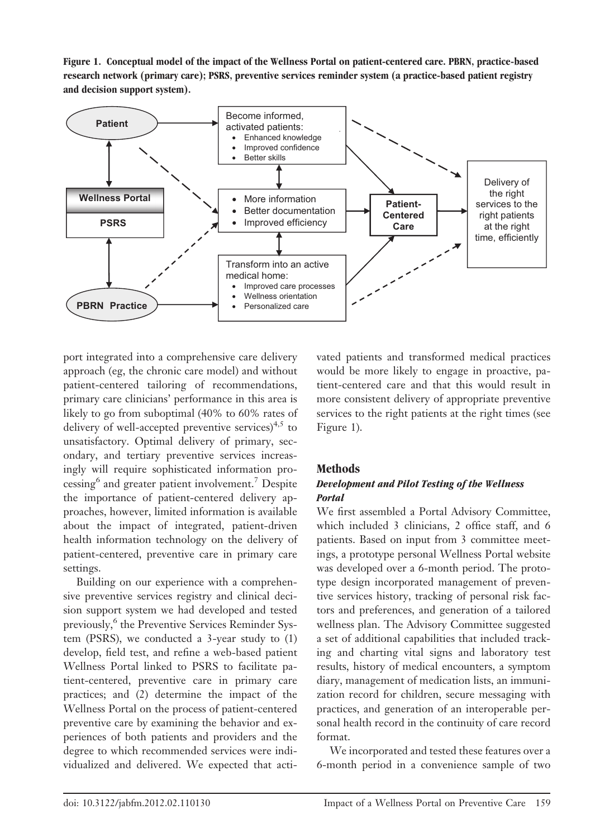**Figure 1. Conceptual model of the impact of the Wellness Portal on patient-centered care. PBRN, practice-based research network (primary care); PSRS, preventive services reminder system (a practice-based patient registry and decision support system).**



port integrated into a comprehensive care delivery approach (eg, the chronic care model) and without patient-centered tailoring of recommendations, primary care clinicians' performance in this area is likely to go from suboptimal (40% to 60% rates of delivery of well-accepted preventive services)<sup>4,5</sup> to unsatisfactory. Optimal delivery of primary, secondary, and tertiary preventive services increasingly will require sophisticated information pro $c \cdot$ essing<sup>6</sup> and greater patient involvement.<sup>7</sup> Despite the importance of patient-centered delivery approaches, however, limited information is available about the impact of integrated, patient-driven health information technology on the delivery of patient-centered, preventive care in primary care settings.

Building on our experience with a comprehensive preventive services registry and clinical decision support system we had developed and tested previously,<sup>6</sup> the Preventive Services Reminder System (PSRS), we conducted a 3-year study to (1) develop, field test, and refine a web-based patient Wellness Portal linked to PSRS to facilitate patient-centered, preventive care in primary care practices; and (2) determine the impact of the Wellness Portal on the process of patient-centered preventive care by examining the behavior and experiences of both patients and providers and the degree to which recommended services were individualized and delivered. We expected that activated patients and transformed medical practices would be more likely to engage in proactive, patient-centered care and that this would result in more consistent delivery of appropriate preventive services to the right patients at the right times (see Figure 1).

## **Methods**

## *Development and Pilot Testing of the Wellness Portal*

We first assembled a Portal Advisory Committee, which included 3 clinicians, 2 office staff, and 6 patients. Based on input from 3 committee meetings, a prototype personal Wellness Portal website was developed over a 6-month period. The prototype design incorporated management of preventive services history, tracking of personal risk factors and preferences, and generation of a tailored wellness plan. The Advisory Committee suggested a set of additional capabilities that included tracking and charting vital signs and laboratory test results, history of medical encounters, a symptom diary, management of medication lists, an immunization record for children, secure messaging with practices, and generation of an interoperable personal health record in the continuity of care record format.

We incorporated and tested these features over a 6-month period in a convenience sample of two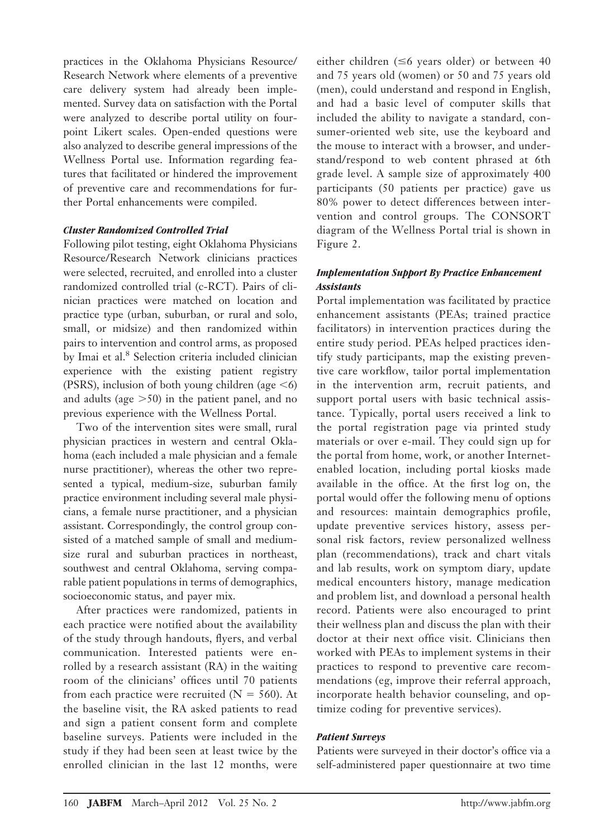practices in the Oklahoma Physicians Resource/ Research Network where elements of a preventive care delivery system had already been implemented. Survey data on satisfaction with the Portal were analyzed to describe portal utility on fourpoint Likert scales. Open-ended questions were also analyzed to describe general impressions of the Wellness Portal use. Information regarding features that facilitated or hindered the improvement of preventive care and recommendations for further Portal enhancements were compiled.

#### *Cluster Randomized Controlled Trial*

Following pilot testing, eight Oklahoma Physicians Resource/Research Network clinicians practices were selected, recruited, and enrolled into a cluster randomized controlled trial (c-RCT). Pairs of clinician practices were matched on location and practice type (urban, suburban, or rural and solo, small, or midsize) and then randomized within pairs to intervention and control arms, as proposed by Imai et al.<sup>8</sup> Selection criteria included clinician experience with the existing patient registry (PSRS), inclusion of both young children (age  $\leq 6$ ) and adults (age  $>50$ ) in the patient panel, and no previous experience with the Wellness Portal.

Two of the intervention sites were small, rural physician practices in western and central Oklahoma (each included a male physician and a female nurse practitioner), whereas the other two represented a typical, medium-size, suburban family practice environment including several male physicians, a female nurse practitioner, and a physician assistant. Correspondingly, the control group consisted of a matched sample of small and mediumsize rural and suburban practices in northeast, southwest and central Oklahoma, serving comparable patient populations in terms of demographics, socioeconomic status, and payer mix.

After practices were randomized, patients in each practice were notified about the availability of the study through handouts, flyers, and verbal communication. Interested patients were enrolled by a research assistant (RA) in the waiting room of the clinicians' offices until 70 patients from each practice were recruited ( $N = 560$ ). At the baseline visit, the RA asked patients to read and sign a patient consent form and complete baseline surveys. Patients were included in the study if they had been seen at least twice by the enrolled clinician in the last 12 months, were

either children ( $\leq 6$  years older) or between 40 and 75 years old (women) or 50 and 75 years old (men), could understand and respond in English, and had a basic level of computer skills that included the ability to navigate a standard, consumer-oriented web site, use the keyboard and the mouse to interact with a browser, and understand/respond to web content phrased at 6th grade level. A sample size of approximately 400 participants (50 patients per practice) gave us 80% power to detect differences between intervention and control groups. The CONSORT diagram of the Wellness Portal trial is shown in Figure 2.

## *Implementation Support By Practice Enhancement Assistants*

Portal implementation was facilitated by practice enhancement assistants (PEAs; trained practice facilitators) in intervention practices during the entire study period. PEAs helped practices identify study participants, map the existing preventive care workflow, tailor portal implementation in the intervention arm, recruit patients, and support portal users with basic technical assistance. Typically, portal users received a link to the portal registration page via printed study materials or over e-mail. They could sign up for the portal from home, work, or another Internetenabled location, including portal kiosks made available in the office. At the first log on, the portal would offer the following menu of options and resources: maintain demographics profile, update preventive services history, assess personal risk factors, review personalized wellness plan (recommendations), track and chart vitals and lab results, work on symptom diary, update medical encounters history, manage medication and problem list, and download a personal health record. Patients were also encouraged to print their wellness plan and discuss the plan with their doctor at their next office visit. Clinicians then worked with PEAs to implement systems in their practices to respond to preventive care recommendations (eg, improve their referral approach, incorporate health behavior counseling, and optimize coding for preventive services).

#### *Patient Surveys*

Patients were surveyed in their doctor's office via a self-administered paper questionnaire at two time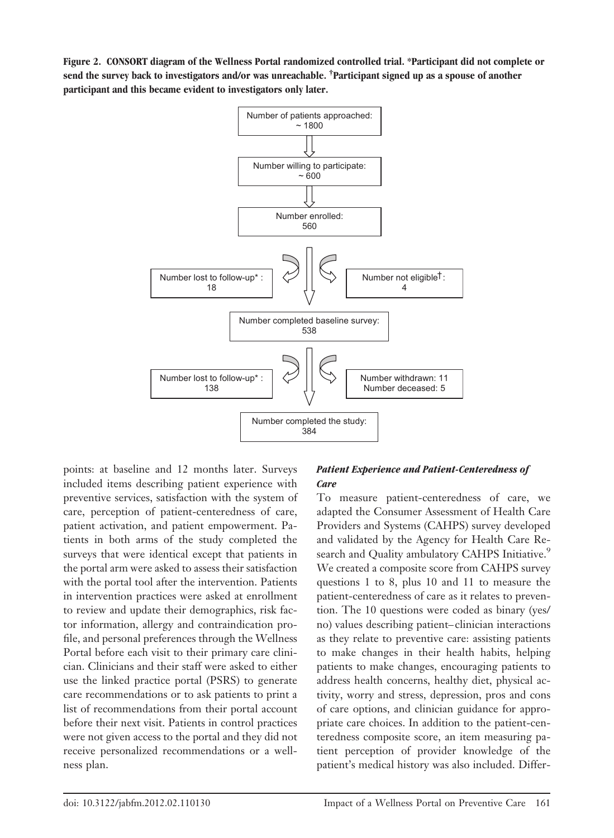**Figure 2. CONSORT diagram of the Wellness Portal randomized controlled trial. \*Participant did not complete or send the survey back to investigators and/or was unreachable. † Participant signed up as a spouse of another participant and this became evident to investigators only later.**



points: at baseline and 12 months later. Surveys included items describing patient experience with preventive services, satisfaction with the system of care, perception of patient-centeredness of care, patient activation, and patient empowerment. Patients in both arms of the study completed the surveys that were identical except that patients in the portal arm were asked to assess their satisfaction with the portal tool after the intervention. Patients in intervention practices were asked at enrollment to review and update their demographics, risk factor information, allergy and contraindication profile, and personal preferences through the Wellness Portal before each visit to their primary care clinician. Clinicians and their staff were asked to either use the linked practice portal (PSRS) to generate care recommendations or to ask patients to print a list of recommendations from their portal account before their next visit. Patients in control practices were not given access to the portal and they did not receive personalized recommendations or a wellness plan.

## *Patient Experience and Patient-Centeredness of Care*

To measure patient-centeredness of care, we adapted the Consumer Assessment of Health Care Providers and Systems (CAHPS) survey developed and validated by the Agency for Health Care Research and Quality ambulatory CAHPS Initiative.<sup>9</sup> We created a composite score from CAHPS survey questions 1 to 8, plus 10 and 11 to measure the patient-centeredness of care as it relates to prevention. The 10 questions were coded as binary (yes/ no) values describing patient– clinician interactions as they relate to preventive care: assisting patients to make changes in their health habits, helping patients to make changes, encouraging patients to address health concerns, healthy diet, physical activity, worry and stress, depression, pros and cons of care options, and clinician guidance for appropriate care choices. In addition to the patient-centeredness composite score, an item measuring patient perception of provider knowledge of the patient's medical history was also included. Differ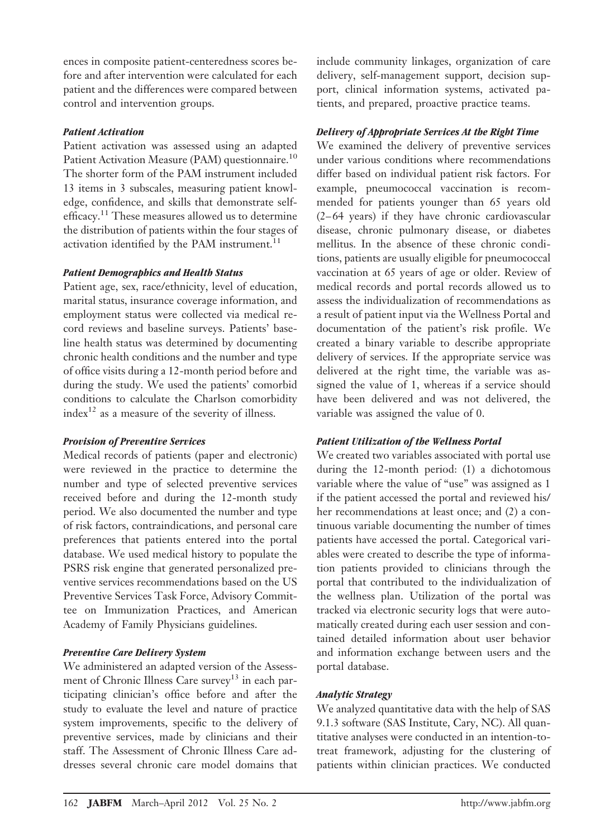ences in composite patient-centeredness scores before and after intervention were calculated for each patient and the differences were compared between control and intervention groups.

## *Patient Activation*

Patient activation was assessed using an adapted Patient Activation Measure (PAM) questionnaire.<sup>10</sup> The shorter form of the PAM instrument included 13 items in 3 subscales, measuring patient knowledge, confidence, and skills that demonstrate selfefficacy.<sup>11</sup> These measures allowed us to determine the distribution of patients within the four stages of activation identified by the PAM instrument. $^{11}$ 

## *Patient Demographics and Health Status*

Patient age, sex, race/ethnicity, level of education, marital status, insurance coverage information, and employment status were collected via medical record reviews and baseline surveys. Patients' baseline health status was determined by documenting chronic health conditions and the number and type of office visits during a 12-month period before and during the study. We used the patients' comorbid conditions to calculate the Charlson comorbidity  $index<sup>12</sup>$  as a measure of the severity of illness.

## *Provision of Preventive Services*

Medical records of patients (paper and electronic) were reviewed in the practice to determine the number and type of selected preventive services received before and during the 12-month study period. We also documented the number and type of risk factors, contraindications, and personal care preferences that patients entered into the portal database. We used medical history to populate the PSRS risk engine that generated personalized preventive services recommendations based on the US Preventive Services Task Force, Advisory Committee on Immunization Practices, and American Academy of Family Physicians guidelines.

## *Preventive Care Delivery System*

We administered an adapted version of the Assessment of Chronic Illness Care survey<sup>13</sup> in each participating clinician's office before and after the study to evaluate the level and nature of practice system improvements, specific to the delivery of preventive services, made by clinicians and their staff. The Assessment of Chronic Illness Care addresses several chronic care model domains that

include community linkages, organization of care delivery, self-management support, decision support, clinical information systems, activated patients, and prepared, proactive practice teams.

## *Delivery of Appropriate Services At the Right Time*

We examined the delivery of preventive services under various conditions where recommendations differ based on individual patient risk factors. For example, pneumococcal vaccination is recommended for patients younger than 65 years old (2– 64 years) if they have chronic cardiovascular disease, chronic pulmonary disease, or diabetes mellitus. In the absence of these chronic conditions, patients are usually eligible for pneumococcal vaccination at 65 years of age or older. Review of medical records and portal records allowed us to assess the individualization of recommendations as a result of patient input via the Wellness Portal and documentation of the patient's risk profile. We created a binary variable to describe appropriate delivery of services. If the appropriate service was delivered at the right time, the variable was assigned the value of 1, whereas if a service should have been delivered and was not delivered, the variable was assigned the value of 0.

## *Patient Utilization of the Wellness Portal*

We created two variables associated with portal use during the 12-month period: (1) a dichotomous variable where the value of "use" was assigned as 1 if the patient accessed the portal and reviewed his/ her recommendations at least once; and (2) a continuous variable documenting the number of times patients have accessed the portal. Categorical variables were created to describe the type of information patients provided to clinicians through the portal that contributed to the individualization of the wellness plan. Utilization of the portal was tracked via electronic security logs that were automatically created during each user session and contained detailed information about user behavior and information exchange between users and the portal database.

# *Analytic Strategy*

We analyzed quantitative data with the help of SAS 9.1.3 software (SAS Institute, Cary, NC). All quantitative analyses were conducted in an intention-totreat framework, adjusting for the clustering of patients within clinician practices. We conducted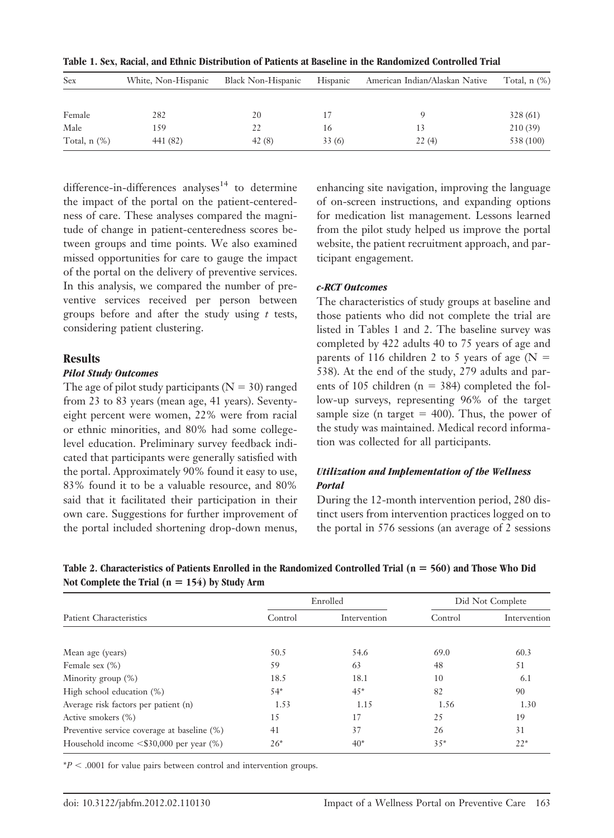| <b>Sex</b>        | White, Non-Hispanic | Black Non-Hispanic | Hispanic | American Indian/Alaskan Native | Total, $n$ $(\%)$ |
|-------------------|---------------------|--------------------|----------|--------------------------------|-------------------|
|                   |                     |                    |          |                                |                   |
| Female            | 282                 | 20                 |          |                                | 328 (61)          |
| Male              | 159                 | 22                 | 16       |                                | 210 (39)          |
| Total, $n$ $(\%)$ | 441 (82)            | 42(8)              | 33(6)    | 22(4)                          | 538 (100)         |

**Table 1. Sex, Racial, and Ethnic Distribution of Patients at Baseline in the Randomized Controlled Trial**

difference-in-differences analyses<sup>14</sup> to determine the impact of the portal on the patient-centeredness of care. These analyses compared the magnitude of change in patient-centeredness scores between groups and time points. We also examined missed opportunities for care to gauge the impact of the portal on the delivery of preventive services. In this analysis, we compared the number of preventive services received per person between groups before and after the study using *t* tests, considering patient clustering.

#### **Results**

#### *Pilot Study Outcomes*

The age of pilot study participants  $(N = 30)$  ranged from 23 to 83 years (mean age, 41 years). Seventyeight percent were women, 22% were from racial or ethnic minorities, and 80% had some collegelevel education. Preliminary survey feedback indicated that participants were generally satisfied with the portal. Approximately 90% found it easy to use, 83% found it to be a valuable resource, and 80% said that it facilitated their participation in their own care. Suggestions for further improvement of the portal included shortening drop-down menus,

enhancing site navigation, improving the language of on-screen instructions, and expanding options for medication list management. Lessons learned from the pilot study helped us improve the portal website, the patient recruitment approach, and participant engagement.

#### *c-RCT Outcomes*

The characteristics of study groups at baseline and those patients who did not complete the trial are listed in Tables 1 and 2. The baseline survey was completed by 422 adults 40 to 75 years of age and parents of 116 children 2 to 5 years of age ( $N =$ 538). At the end of the study, 279 adults and parents of 105 children ( $n = 384$ ) completed the follow-up surveys, representing 96% of the target sample size (n target  $=$  400). Thus, the power of the study was maintained. Medical record information was collected for all participants.

#### *Utilization and Implementation of the Wellness Portal*

During the 12-month intervention period, 280 distinct users from intervention practices logged on to the portal in 576 sessions (an average of 2 sessions

|                                               |         | Enrolled     | Did Not Complete |              |
|-----------------------------------------------|---------|--------------|------------------|--------------|
| <b>Patient Characteristics</b>                | Control | Intervention | Control          | Intervention |
| Mean age (years)                              | 50.5    | 54.6         | 69.0             | 60.3         |
| Female sex (%)                                | 59      | 63           | 48               | 51           |
| Minority group (%)                            | 18.5    | 18.1         | 10               | 6.1          |
| High school education (%)                     | $54*$   | $45*$        | 82               | 90           |
| Average risk factors per patient (n)          | 1.53    | 1.15         | 1.56             | 1.30         |
| Active smokers (%)                            | 15      | 17           | 25               | 19           |
| Preventive service coverage at baseline (%)   | 41      | 37           | 26               | 31           |
| Household income $\leq$ \$30,000 per year (%) | $26*$   | $40*$        | $35*$            | $22*$        |

**Table 2. Characteristics of Patients Enrolled in the Randomized Controlled Trial (n 560) and Those Who Did** Not Complete the Trial  $(n = 154)$  by Study Arm

 $*P < .0001$  for value pairs between control and intervention groups.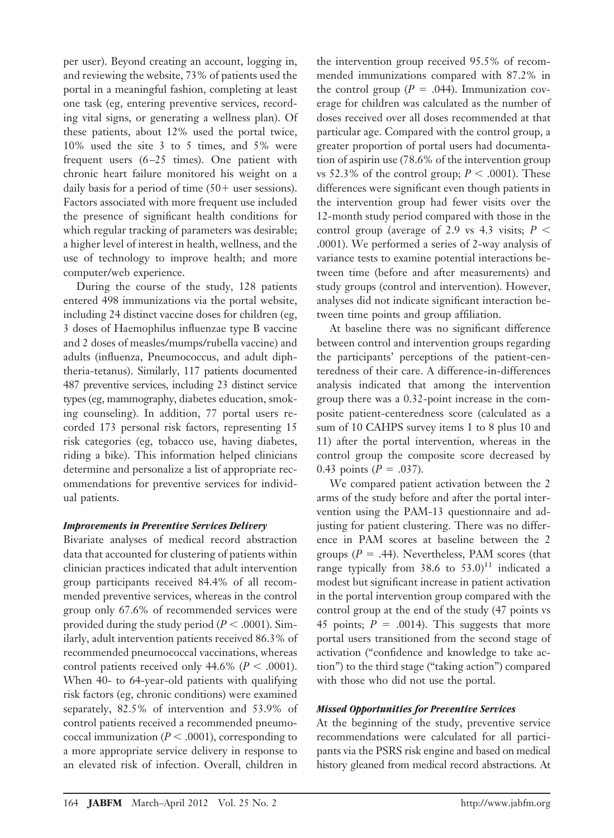per user). Beyond creating an account, logging in, and reviewing the website, 73% of patients used the portal in a meaningful fashion, completing at least one task (eg, entering preventive services, recording vital signs, or generating a wellness plan). Of these patients, about 12% used the portal twice, 10% used the site 3 to 5 times, and 5% were frequent users  $(6-25$  times). One patient with chronic heart failure monitored his weight on a daily basis for a period of time  $(50 + \text{user sessions}).$ Factors associated with more frequent use included the presence of significant health conditions for which regular tracking of parameters was desirable; a higher level of interest in health, wellness, and the use of technology to improve health; and more computer/web experience.

During the course of the study, 128 patients entered 498 immunizations via the portal website, including 24 distinct vaccine doses for children (eg, 3 doses of Haemophilus influenzae type B vaccine and 2 doses of measles/mumps/rubella vaccine) and adults (influenza, Pneumococcus, and adult diphtheria-tetanus). Similarly, 117 patients documented 487 preventive services, including 23 distinct service types (eg, mammography, diabetes education, smoking counseling). In addition, 77 portal users recorded 173 personal risk factors, representing 15 risk categories (eg, tobacco use, having diabetes, riding a bike). This information helped clinicians determine and personalize a list of appropriate recommendations for preventive services for individual patients.

#### *Improvements in Preventive Services Delivery*

Bivariate analyses of medical record abstraction data that accounted for clustering of patients within clinician practices indicated that adult intervention group participants received 84.4% of all recommended preventive services, whereas in the control group only 67.6% of recommended services were provided during the study period ( $P < .0001$ ). Similarly, adult intervention patients received 86.3% of recommended pneumococcal vaccinations, whereas control patients received only  $44.6\%$  ( $P < .0001$ ). When 40- to 64-year-old patients with qualifying risk factors (eg, chronic conditions) were examined separately, 82.5% of intervention and 53.9% of control patients received a recommended pneumococcal immunization ( $P < .0001$ ), corresponding to a more appropriate service delivery in response to an elevated risk of infection. Overall, children in

the intervention group received 95.5% of recommended immunizations compared with 87.2% in the control group ( $P = .044$ ). Immunization coverage for children was calculated as the number of doses received over all doses recommended at that particular age. Compared with the control group, a greater proportion of portal users had documentation of aspirin use (78.6% of the intervention group vs 52.3% of the control group;  $P < .0001$ ). These differences were significant even though patients in the intervention group had fewer visits over the 12-month study period compared with those in the control group (average of 2.9 vs 4.3 visits;  $P \leq$ .0001). We performed a series of 2-way analysis of variance tests to examine potential interactions between time (before and after measurements) and study groups (control and intervention). However, analyses did not indicate significant interaction between time points and group affiliation.

At baseline there was no significant difference between control and intervention groups regarding the participants' perceptions of the patient-centeredness of their care. A difference-in-differences analysis indicated that among the intervention group there was a 0.32-point increase in the composite patient-centeredness score (calculated as a sum of 10 CAHPS survey items 1 to 8 plus 10 and 11) after the portal intervention, whereas in the control group the composite score decreased by 0.43 points ( $P = .037$ ).

We compared patient activation between the 2 arms of the study before and after the portal intervention using the PAM-13 questionnaire and adjusting for patient clustering. There was no difference in PAM scores at baseline between the 2 groups  $(P = .44)$ . Nevertheless, PAM scores (that range typically from 38.6 to  $53.0$ <sup>11</sup> indicated a modest but significant increase in patient activation in the portal intervention group compared with the control group at the end of the study (47 points vs 45 points;  $P = .0014$ ). This suggests that more portal users transitioned from the second stage of activation ("confidence and knowledge to take action") to the third stage ("taking action") compared with those who did not use the portal.

## *Missed Opportunities for Preventive Services*

At the beginning of the study, preventive service recommendations were calculated for all participants via the PSRS risk engine and based on medical history gleaned from medical record abstractions. At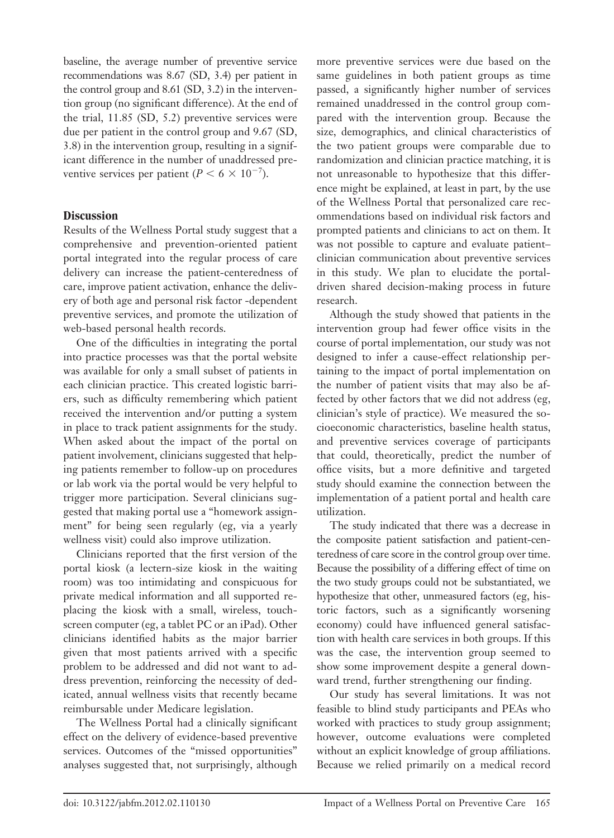baseline, the average number of preventive service recommendations was 8.67 (SD, 3.4) per patient in the control group and 8.61 (SD, 3.2) in the intervention group (no significant difference). At the end of the trial, 11.85 (SD, 5.2) preventive services were due per patient in the control group and 9.67 (SD, 3.8) in the intervention group, resulting in a significant difference in the number of unaddressed preventive services per patient ( $P < 6 \times 10^{-7}$ ).

# **Discussion**

Results of the Wellness Portal study suggest that a comprehensive and prevention-oriented patient portal integrated into the regular process of care delivery can increase the patient-centeredness of care, improve patient activation, enhance the delivery of both age and personal risk factor -dependent preventive services, and promote the utilization of web-based personal health records.

One of the difficulties in integrating the portal into practice processes was that the portal website was available for only a small subset of patients in each clinician practice. This created logistic barriers, such as difficulty remembering which patient received the intervention and/or putting a system in place to track patient assignments for the study. When asked about the impact of the portal on patient involvement, clinicians suggested that helping patients remember to follow-up on procedures or lab work via the portal would be very helpful to trigger more participation. Several clinicians suggested that making portal use a "homework assignment" for being seen regularly (eg, via a yearly wellness visit) could also improve utilization.

Clinicians reported that the first version of the portal kiosk (a lectern-size kiosk in the waiting room) was too intimidating and conspicuous for private medical information and all supported replacing the kiosk with a small, wireless, touchscreen computer (eg, a tablet PC or an iPad). Other clinicians identified habits as the major barrier given that most patients arrived with a specific problem to be addressed and did not want to address prevention, reinforcing the necessity of dedicated, annual wellness visits that recently became reimbursable under Medicare legislation.

The Wellness Portal had a clinically significant effect on the delivery of evidence-based preventive services. Outcomes of the "missed opportunities" analyses suggested that, not surprisingly, although more preventive services were due based on the same guidelines in both patient groups as time passed, a significantly higher number of services remained unaddressed in the control group compared with the intervention group. Because the size, demographics, and clinical characteristics of the two patient groups were comparable due to randomization and clinician practice matching, it is not unreasonable to hypothesize that this difference might be explained, at least in part, by the use of the Wellness Portal that personalized care recommendations based on individual risk factors and prompted patients and clinicians to act on them. It was not possible to capture and evaluate patient– clinician communication about preventive services in this study. We plan to elucidate the portaldriven shared decision-making process in future research.

Although the study showed that patients in the intervention group had fewer office visits in the course of portal implementation, our study was not designed to infer a cause-effect relationship pertaining to the impact of portal implementation on the number of patient visits that may also be affected by other factors that we did not address (eg, clinician's style of practice). We measured the socioeconomic characteristics, baseline health status, and preventive services coverage of participants that could, theoretically, predict the number of office visits, but a more definitive and targeted study should examine the connection between the implementation of a patient portal and health care utilization.

The study indicated that there was a decrease in the composite patient satisfaction and patient-centeredness of care score in the control group over time. Because the possibility of a differing effect of time on the two study groups could not be substantiated, we hypothesize that other, unmeasured factors (eg, historic factors, such as a significantly worsening economy) could have influenced general satisfaction with health care services in both groups. If this was the case, the intervention group seemed to show some improvement despite a general downward trend, further strengthening our finding.

Our study has several limitations. It was not feasible to blind study participants and PEAs who worked with practices to study group assignment; however, outcome evaluations were completed without an explicit knowledge of group affiliations. Because we relied primarily on a medical record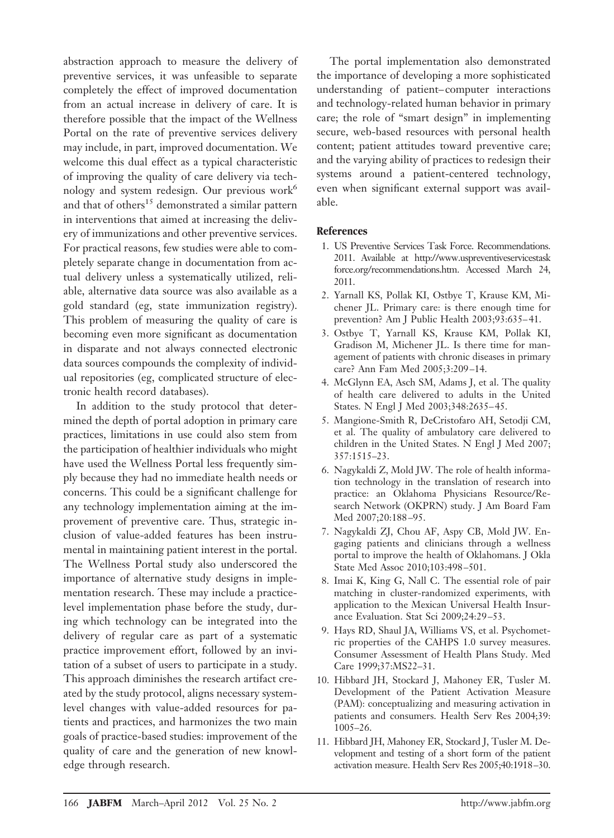abstraction approach to measure the delivery of preventive services, it was unfeasible to separate completely the effect of improved documentation from an actual increase in delivery of care. It is therefore possible that the impact of the Wellness Portal on the rate of preventive services delivery may include, in part, improved documentation. We welcome this dual effect as a typical characteristic of improving the quality of care delivery via technology and system redesign. Our previous work<sup>6</sup> and that of others<sup>15</sup> demonstrated a similar pattern in interventions that aimed at increasing the delivery of immunizations and other preventive services. For practical reasons, few studies were able to completely separate change in documentation from actual delivery unless a systematically utilized, reliable, alternative data source was also available as a gold standard (eg, state immunization registry). This problem of measuring the quality of care is becoming even more significant as documentation in disparate and not always connected electronic data sources compounds the complexity of individual repositories (eg, complicated structure of electronic health record databases).

In addition to the study protocol that determined the depth of portal adoption in primary care practices, limitations in use could also stem from the participation of healthier individuals who might have used the Wellness Portal less frequently simply because they had no immediate health needs or concerns. This could be a significant challenge for any technology implementation aiming at the improvement of preventive care. Thus, strategic inclusion of value-added features has been instrumental in maintaining patient interest in the portal. The Wellness Portal study also underscored the importance of alternative study designs in implementation research. These may include a practicelevel implementation phase before the study, during which technology can be integrated into the delivery of regular care as part of a systematic practice improvement effort, followed by an invitation of a subset of users to participate in a study. This approach diminishes the research artifact created by the study protocol, aligns necessary systemlevel changes with value-added resources for patients and practices, and harmonizes the two main goals of practice-based studies: improvement of the quality of care and the generation of new knowledge through research.

The portal implementation also demonstrated the importance of developing a more sophisticated understanding of patient– computer interactions and technology-related human behavior in primary care; the role of "smart design" in implementing secure, web-based resources with personal health content; patient attitudes toward preventive care; and the varying ability of practices to redesign their systems around a patient-centered technology, even when significant external support was available.

#### **References**

- 1. US Preventive Services Task Force. Recommendations. 2011. Available at http://www.uspreventiveservicestask force.org/recommendations.htm. Accessed March 24, 2011.
- 2. Yarnall KS, Pollak KI, Ostbye T, Krause KM, Michener JL. Primary care: is there enough time for prevention? Am J Public Health 2003;93:635– 41.
- 3. Ostbye T, Yarnall KS, Krause KM, Pollak KI, Gradison M, Michener JL. Is there time for management of patients with chronic diseases in primary care? Ann Fam Med 2005;3:209 –14.
- 4. McGlynn EA, Asch SM, Adams J, et al. The quality of health care delivered to adults in the United States. N Engl J Med 2003;348:2635– 45.
- 5. Mangione-Smith R, DeCristofaro AH, Setodji CM, et al. The quality of ambulatory care delivered to children in the United States. N Engl J Med 2007; 357:1515–23.
- 6. Nagykaldi Z, Mold JW. The role of health information technology in the translation of research into practice: an Oklahoma Physicians Resource/Research Network (OKPRN) study. J Am Board Fam Med 2007;20:188 –95.
- 7. Nagykaldi ZJ, Chou AF, Aspy CB, Mold JW. Engaging patients and clinicians through a wellness portal to improve the health of Oklahomans. J Okla State Med Assoc 2010;103:498 –501.
- 8. Imai K, King G, Nall C. The essential role of pair matching in cluster-randomized experiments, with application to the Mexican Universal Health Insurance Evaluation. Stat Sci 2009;24:29 –53.
- 9. Hays RD, Shaul JA, Williams VS, et al. Psychometric properties of the CAHPS 1.0 survey measures. Consumer Assessment of Health Plans Study. Med Care 1999;37:MS22–31.
- 10. Hibbard JH, Stockard J, Mahoney ER, Tusler M. Development of the Patient Activation Measure (PAM): conceptualizing and measuring activation in patients and consumers. Health Serv Res 2004;39: 1005–26.
- 11. Hibbard JH, Mahoney ER, Stockard J, Tusler M. Development and testing of a short form of the patient activation measure. Health Serv Res 2005;40:1918 –30.